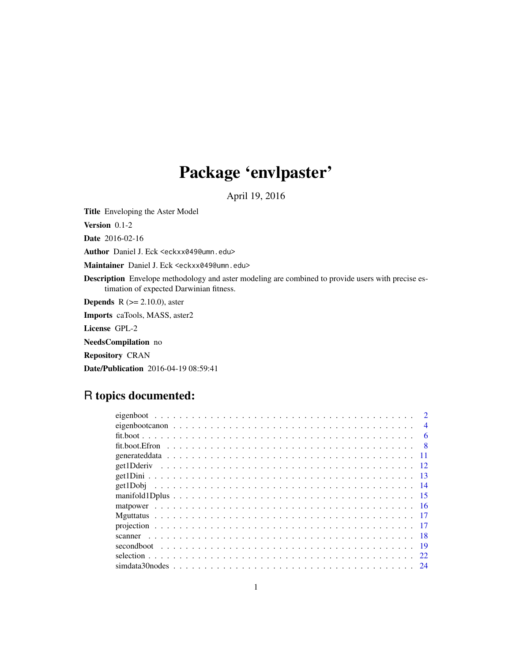# Package 'envlpaster'

April 19, 2016

Title Enveloping the Aster Model

Version 0.1-2

Date 2016-02-16

Author Daniel J. Eck <eckxx049@umn.edu>

Maintainer Daniel J. Eck <eckxx049@umn.edu>

Description Envelope methodology and aster modeling are combined to provide users with precise estimation of expected Darwinian fitness.

**Depends** R  $(>= 2.10.0)$ , aster

Imports caTools, MASS, aster2

License GPL-2

NeedsCompilation no

Repository CRAN

Date/Publication 2016-04-19 08:59:41

# R topics documented:

| scanner |    |
|---------|----|
|         |    |
|         |    |
|         | 24 |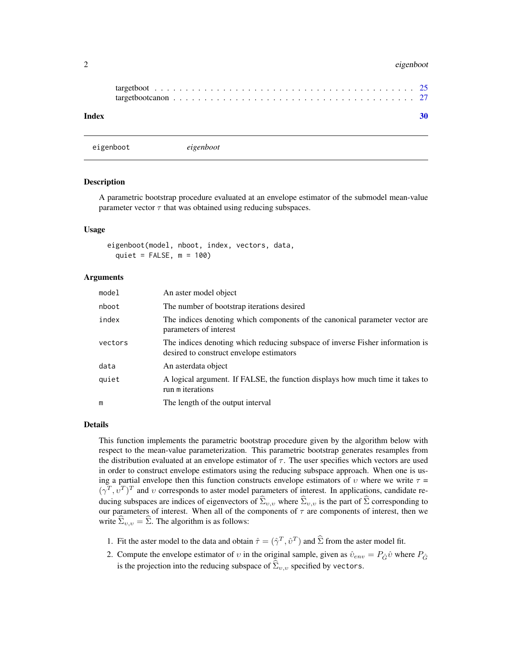#### <span id="page-1-0"></span>2 eigenboot eigenboot is a state of the state of the state of the state of the state of the state of the state of the state of the state of the state of the state of the state of the state of the state of the state of the

| Index |  |  |  |  |  |  |  |  |  |  |  |  |  |  |  |  |  |  |
|-------|--|--|--|--|--|--|--|--|--|--|--|--|--|--|--|--|--|--|

eigenboot *eigenboot*

#### Description

A parametric bootstrap procedure evaluated at an envelope estimator of the submodel mean-value parameter vector  $\tau$  that was obtained using reducing subspaces.

#### Usage

eigenboot(model, nboot, index, vectors, data, quiet =  $FALSE, m = 100$ 

#### Arguments

| model   | An aster model object                                                                                                     |
|---------|---------------------------------------------------------------------------------------------------------------------------|
| nboot   | The number of bootstrap iterations desired                                                                                |
| index   | The indices denoting which components of the canonical parameter vector are<br>parameters of interest                     |
| vectors | The indices denoting which reducing subspace of inverse Fisher information is<br>desired to construct envelope estimators |
| data    | An asterdata object                                                                                                       |
| quiet   | A logical argument. If FALSE, the function displays how much time it takes to<br>run m iterations                         |
| m       | The length of the output interval                                                                                         |

#### Details

This function implements the parametric bootstrap procedure given by the algorithm below with respect to the mean-value parameterization. This parametric bootstrap generates resamples from the distribution evaluated at an envelope estimator of  $\tau$ . The user specifies which vectors are used in order to construct envelope estimators using the reducing subspace approach. When one is using a partial envelope then this function constructs envelope estimators of v where we write  $\tau$  =  $(\gamma^T, v^T)^T$  and v corresponds to aster model parameters of interest. In applications, candidate reducing subspaces are indices of eigenvectors of  $\hat{\Sigma}_{v,v}$  where  $\hat{\Sigma}_{v,v}$  is the part of  $\hat{\Sigma}$  corresponding to our parameters of interest. When all of the components of  $\tau$  are components of interest, then we write  $\widehat{\Sigma}_{v,v} = \widehat{\Sigma}$ . The algorithm is as follows:

- 1. Fit the aster model to the data and obtain  $\hat{\tau} = (\hat{\gamma}^T, \hat{v}^T)$  and  $\hat{\Sigma}$  from the aster model fit.
- 2. Compute the envelope estimator of v in the original sample, given as  $\hat{v}_{env} = P_{\hat{G}} \hat{v}$  where  $P_{\hat{G}}$ is the projection into the reducing subspace of  $\hat{\Sigma}_{v,v}$  specified by vectors.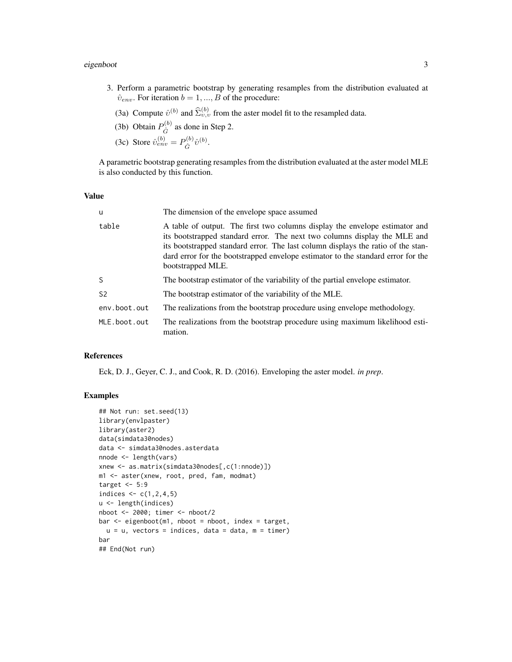#### eigenboot 3 and 3 and 3 and 3 and 3 and 3 and 3 and 3 and 3 and 3 and 3 and 3 and 3 and 3 and 3 and 3 and 3 and 3 and 3 and 3 and 3 and 3 and 3 and 3 and 3 and 3 and 3 and 3 and 3 and 3 and 3 and 3 and 3 and 3 and 3 and 3

- 3. Perform a parametric bootstrap by generating resamples from the distribution evaluated at  $\hat{v}_{env}$ . For iteration  $b = 1, ..., B$  of the procedure:
	- (3a) Compute  $\hat{v}^{(b)}$  and  $\hat{\Sigma}_{v,v}^{(b)}$  from the aster model fit to the resampled data.
	- (3b) Obtain  $P_{\hat{C}}^{(b)}$  $\hat{G}^{(0)}$  as done in Step 2.
	- (3c) Store  $\hat{v}_{env}^{(b)} = P_{\hat{C}}^{(b)}$  $\hat{G}^{(b)} \hat{v}^{(b)}.$

A parametric bootstrap generating resamples from the distribution evaluated at the aster model MLE is also conducted by this function.

## Value

| u              | The dimension of the envelope space assumed                                                                                                                                                                                                                                                                                                           |
|----------------|-------------------------------------------------------------------------------------------------------------------------------------------------------------------------------------------------------------------------------------------------------------------------------------------------------------------------------------------------------|
| table          | A table of output. The first two columns display the envelope estimator and<br>its bootstrapped standard error. The next two columns display the MLE and<br>its bootstrapped standard error. The last column displays the ratio of the stan-<br>dard error for the bootstrapped envelope estimator to the standard error for the<br>bootstrapped MLE. |
| S              | The bootstrap estimator of the variability of the partial envelope estimator.                                                                                                                                                                                                                                                                         |
| S <sub>2</sub> | The bootstrap estimator of the variability of the MLE.                                                                                                                                                                                                                                                                                                |
| env.boot.out   | The realizations from the bootstrap procedure using envelope methodology.                                                                                                                                                                                                                                                                             |
| MLE.boot.out   | The realizations from the bootstrap procedure using maximum likelihood esti-<br>mation.                                                                                                                                                                                                                                                               |

## References

Eck, D. J., Geyer, C. J., and Cook, R. D. (2016). Enveloping the aster model. *in prep*.

# Examples

```
## Not run: set.seed(13)
library(envlpaster)
library(aster2)
data(simdata30nodes)
data <- simdata30nodes.asterdata
nnode <- length(vars)
xnew <- as.matrix(simdata30nodes[,c(1:nnode)])
m1 <- aster(xnew, root, pred, fam, modmat)
target <-5:9indices <-c(1, 2, 4, 5)u <- length(indices)
nboot <- 2000; timer <- nboot/2
bar <- eigenboot(m1, nboot = nboot, index = target,
  u = u, vectors = indices, data = data, m = timer)
bar
## End(Not run)
```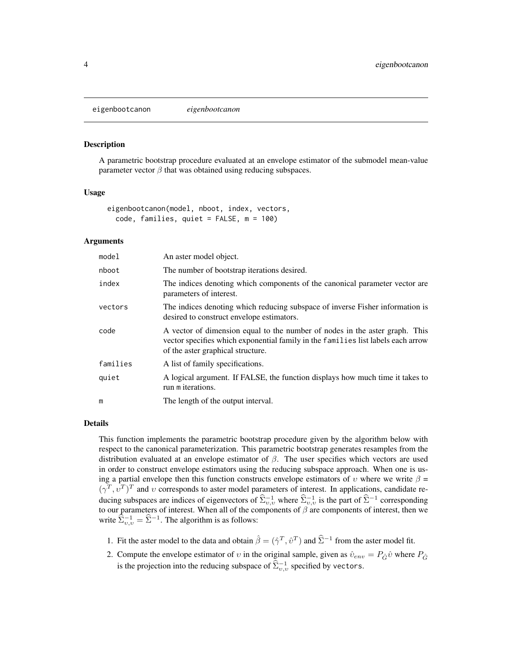<span id="page-3-0"></span>eigenbootcanon *eigenbootcanon*

#### Description

A parametric bootstrap procedure evaluated at an envelope estimator of the submodel mean-value parameter vector  $\beta$  that was obtained using reducing subspaces.

#### Usage

```
eigenbootcanon(model, nboot, index, vectors,
 code, families, quiet = FALSE, m = 100)
```
## Arguments

| model    | An aster model object.                                                                                                                                                                               |
|----------|------------------------------------------------------------------------------------------------------------------------------------------------------------------------------------------------------|
| nboot    | The number of bootstrap iterations desired.                                                                                                                                                          |
| index    | The indices denoting which components of the canonical parameter vector are<br>parameters of interest.                                                                                               |
| vectors  | The indices denoting which reducing subspace of inverse Fisher information is<br>desired to construct envelope estimators.                                                                           |
| code     | A vector of dimension equal to the number of nodes in the aster graph. This<br>vector specifies which exponential family in the families list labels each arrow<br>of the aster graphical structure. |
| families | A list of family specifications.                                                                                                                                                                     |
| quiet    | A logical argument. If FALSE, the function displays how much time it takes to<br>run m iterations.                                                                                                   |
| m        | The length of the output interval.                                                                                                                                                                   |

#### Details

This function implements the parametric bootstrap procedure given by the algorithm below with respect to the canonical parameterization. This parametric bootstrap generates resamples from the distribution evaluated at an envelope estimator of  $\beta$ . The user specifies which vectors are used in order to construct envelope estimators using the reducing subspace approach. When one is using a partial envelope then this function constructs envelope estimators of v where we write  $\beta =$  $(\gamma^T, v^T)^T$  and v corresponds to aster model parameters of interest. In applications, candidate reducing subspaces are indices of eigenvectors of  $\hat{\Sigma}_{v,v}^{-1}$  where  $\hat{\Sigma}_{v,v}^{-1}$  is the part of  $\hat{\Sigma}^{-1}$  corresponding to our parameters of interest. When all of the components of  $\beta$  are components of interest, then we write  $\hat{\Sigma}_{v,v}^{-1} = \hat{\Sigma}^{-1}$ . The algorithm is as follows:

- 1. Fit the aster model to the data and obtain  $\hat{\beta} = (\hat{\gamma}^T, \hat{v}^T)$  and  $\hat{\Sigma}^{-1}$  from the aster model fit.
- 2. Compute the envelope estimator of v in the original sample, given as  $\hat{v}_{env} = P_{\hat{G}} \hat{v}$  where  $P_{\hat{G}}$ is the projection into the reducing subspace of  $\widehat{\Sigma}_{v,v}^{-1}$  specified by vectors.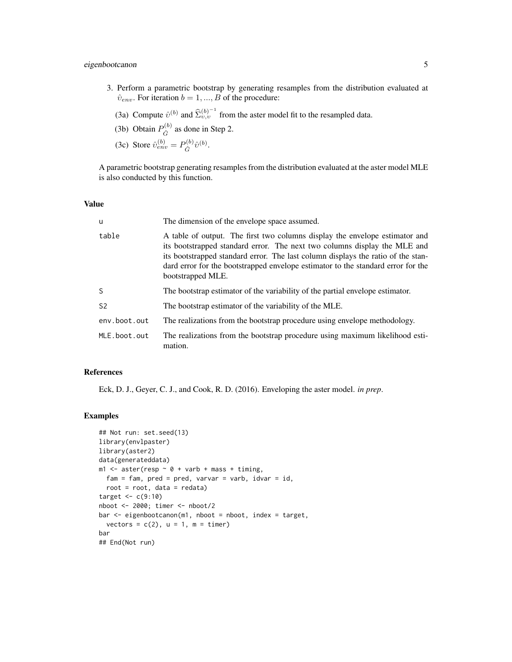# eigenbootcanon 5

- 3. Perform a parametric bootstrap by generating resamples from the distribution evaluated at  $\hat{v}_{env}$ . For iteration  $b = 1, ..., B$  of the procedure:
	- (3a) Compute  $\hat{v}^{(b)}$  and  $\hat{\Sigma}_{v,v}^{(b)^{-1}}$  from the aster model fit to the resampled data.
	- (3b) Obtain  $P_{\hat{C}}^{(b)}$  $\hat{G}^{(0)}$  as done in Step 2.
	- (3c) Store  $\hat{v}_{env}^{(b)} = P_{\hat{C}}^{(b)}$  $\hat{G}^{(b)} \hat{v}^{(b)}.$

A parametric bootstrap generating resamples from the distribution evaluated at the aster model MLE is also conducted by this function.

#### Value

| ū              | The dimension of the envelope space assumed.                                                                                                                                                                                                                                                                                                          |
|----------------|-------------------------------------------------------------------------------------------------------------------------------------------------------------------------------------------------------------------------------------------------------------------------------------------------------------------------------------------------------|
| table          | A table of output. The first two columns display the envelope estimator and<br>its bootstrapped standard error. The next two columns display the MLE and<br>its bootstrapped standard error. The last column displays the ratio of the stan-<br>dard error for the bootstrapped envelope estimator to the standard error for the<br>bootstrapped MLE. |
| S              | The bootstrap estimator of the variability of the partial envelope estimator.                                                                                                                                                                                                                                                                         |
| S <sub>2</sub> | The bootstrap estimator of the variability of the MLE.                                                                                                                                                                                                                                                                                                |
| env.boot.out   | The realizations from the bootstrap procedure using envelope methodology.                                                                                                                                                                                                                                                                             |
| MLE.boot.out   | The realizations from the bootstrap procedure using maximum likelihood esti-<br>mation.                                                                                                                                                                                                                                                               |

# References

Eck, D. J., Geyer, C. J., and Cook, R. D. (2016). Enveloping the aster model. *in prep*.

#### Examples

```
## Not run: set.seed(13)
library(envlpaster)
library(aster2)
data(generateddata)
m1 <- aster(resp \sim 0 + varb + mass + timing,
 fam = fam, pred = pred, varv = varb, idvar = id,
  root = root, data = redata)
target \leq c(9:10)nboot <- 2000; timer <- nboot/2
bar <- eigenbootcanon(m1, nboot = nboot, index = target,
  vectors = c(2), u = 1, m = timer)
bar
## End(Not run)
```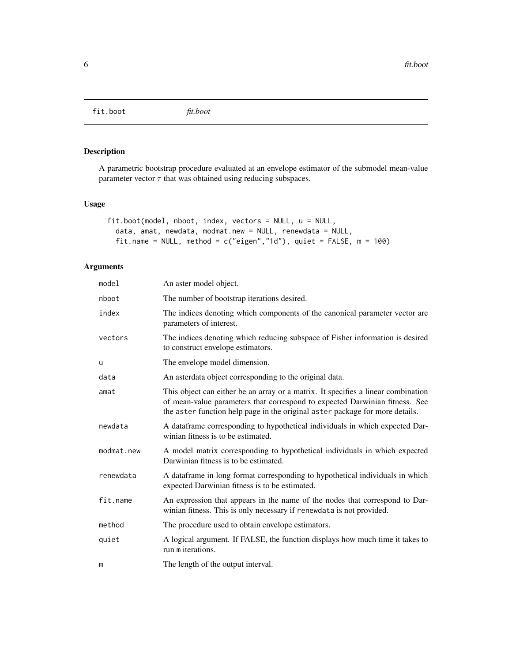<span id="page-5-0"></span>fit.boot *fit.boot*

# Description

A parametric bootstrap procedure evaluated at an envelope estimator of the submodel mean-value parameter vector  $\tau$  that was obtained using reducing subspaces.

# Usage

```
fit.boot(model, nboot, index, vectors = NULL, u = NULL,
 data, amat, newdata, modmat.new = NULL, renewdata = NULL,
  fit.name = NULL, method = c("eigen","1d"), quiet = FALSE, m = 100)
```
# Arguments

| model      | An aster model object.                                                                                                                                                                                                                           |
|------------|--------------------------------------------------------------------------------------------------------------------------------------------------------------------------------------------------------------------------------------------------|
| nboot      | The number of bootstrap iterations desired.                                                                                                                                                                                                      |
| index      | The indices denoting which components of the canonical parameter vector are<br>parameters of interest.                                                                                                                                           |
| vectors    | The indices denoting which reducing subspace of Fisher information is desired<br>to construct envelope estimators.                                                                                                                               |
| u          | The envelope model dimension.                                                                                                                                                                                                                    |
| data       | An asterdata object corresponding to the original data.                                                                                                                                                                                          |
| amat       | This object can either be an array or a matrix. It specifies a linear combination<br>of mean-value parameters that correspond to expected Darwinian fitness. See<br>the aster function help page in the original aster package for more details. |
| newdata    | A dataframe corresponding to hypothetical individuals in which expected Dar-<br>winian fitness is to be estimated.                                                                                                                               |
| modmat.new | A model matrix corresponding to hypothetical individuals in which expected<br>Darwinian fitness is to be estimated.                                                                                                                              |
| renewdata  | A data frame in long format corresponding to hypothetical individuals in which<br>expected Darwinian fitness is to be estimated.                                                                                                                 |
| fit.name   | An expression that appears in the name of the nodes that correspond to Dar-<br>winian fitness. This is only necessary if renewdata is not provided.                                                                                              |
| method     | The procedure used to obtain envelope estimators.                                                                                                                                                                                                |
| quiet      | A logical argument. If FALSE, the function displays how much time it takes to<br>run m iterations.                                                                                                                                               |
| m          | The length of the output interval.                                                                                                                                                                                                               |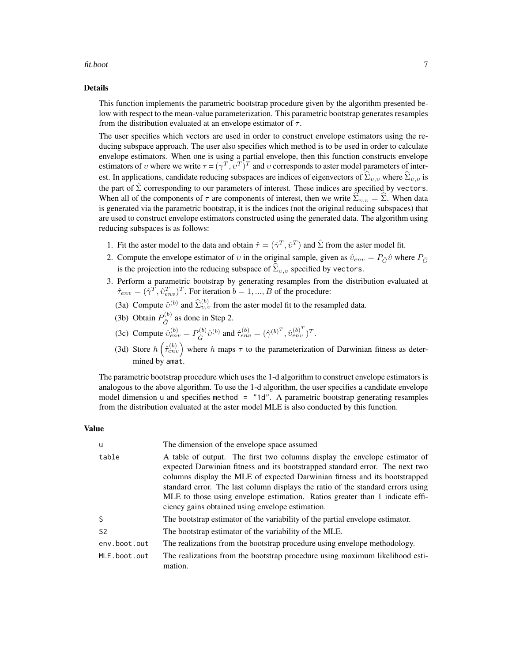#### fit.boot 7

#### Details

This function implements the parametric bootstrap procedure given by the algorithm presented below with respect to the mean-value parameterization. This parametric bootstrap generates resamples from the distribution evaluated at an envelope estimator of  $\tau$ .

The user specifies which vectors are used in order to construct envelope estimators using the reducing subspace approach. The user also specifies which method is to be used in order to calculate envelope estimators. When one is using a partial envelope, then this function constructs envelope estimators of v where we write  $\tau = (\gamma^T, \nu^T)^T$  and v corresponds to aster model parameters of interest. In applications, candidate reducing subspaces are indices of eigenvectors of  $\hat{\Sigma}_{v,v}$  where  $\hat{\Sigma}_{v,v}$  is the part of  $\hat{\Sigma}$  corresponding to our parameters of interest. These indices are specified by vectors. When all of the components of  $\tau$  are components of interest, then we write  $\Sigma_{v,v} = \Sigma$ . When data is generated via the parametric bootstrap, it is the indices (not the original reducing subspaces) that are used to construct envelope estimators constructed using the generated data. The algorithm using reducing subspaces is as follows:

- 1. Fit the aster model to the data and obtain  $\hat{\tau} = (\hat{\gamma}^T, \hat{v}^T)$  and  $\hat{\Sigma}$  from the aster model fit.
- 2. Compute the envelope estimator of v in the original sample, given as  $\hat{v}_{env} = P_{\hat{G}} \hat{v}$  where  $P_{\hat{G}}$ is the projection into the reducing subspace of  $\widehat{\Sigma}_{v,v}$  specified by vectors.
- 3. Perform a parametric bootstrap by generating resamples from the distribution evaluated at  $\hat{\tau}_{env} = (\hat{\gamma}^T, \hat{v}_{env}^T)^T$ . For iteration  $b = 1, ..., B$  of the procedure:
	- (3a) Compute  $\hat{v}^{(b)}$  and  $\hat{\Sigma}_{v,v}^{(b)}$  from the aster model fit to the resampled data.
	- (3b) Obtain  $P_{\hat{C}}^{(b)}$  $\hat{G}^{(0)}$  as done in Step 2.
	- (3c) Compute  $\hat{v}_{env}^{(b)} = P_{\hat{C}}^{(b)}$  $\hat{G}^{(b)}\hat{v}^{(b)}$  and  $\hat{\tau}_{env}^{(b)} = (\hat{\gamma}^{(b)^{T}}, \hat{v}_{env}^{(b)^{T}})^{T}$ .
	- (3d) Store  $h\left(\hat{\tau}_{env}^{(b)}\right)$  where h maps  $\tau$  to the parameterization of Darwinian fitness as determined by amat.

The parametric bootstrap procedure which uses the 1-d algorithm to construct envelope estimators is analogous to the above algorithm. To use the 1-d algorithm, the user specifies a candidate envelope model dimension u and specifies method = "1d". A parametric bootstrap generating resamples from the distribution evaluated at the aster model MLE is also conducted by this function.

#### Value

| u              | The dimension of the envelope space assumed                                                                                                                                                                                                                                                                                                                                                                                                                     |
|----------------|-----------------------------------------------------------------------------------------------------------------------------------------------------------------------------------------------------------------------------------------------------------------------------------------------------------------------------------------------------------------------------------------------------------------------------------------------------------------|
| table          | A table of output. The first two columns display the envelope estimator of<br>expected Darwinian fitness and its bootstrapped standard error. The next two<br>columns display the MLE of expected Darwinian fitness and its bootstrapped<br>standard error. The last column displays the ratio of the standard errors using<br>MLE to those using envelope estimation. Ratios greater than 1 indicate effi-<br>ciency gains obtained using envelope estimation. |
| S              | The bootstrap estimator of the variability of the partial envelope estimator.                                                                                                                                                                                                                                                                                                                                                                                   |
| S <sub>2</sub> | The bootstrap estimator of the variability of the MLE.                                                                                                                                                                                                                                                                                                                                                                                                          |
| env.boot.out   | The realizations from the bootstrap procedure using envelope methodology.                                                                                                                                                                                                                                                                                                                                                                                       |
| MLE.boot.out   | The realizations from the bootstrap procedure using maximum likelihood esti-<br>mation.                                                                                                                                                                                                                                                                                                                                                                         |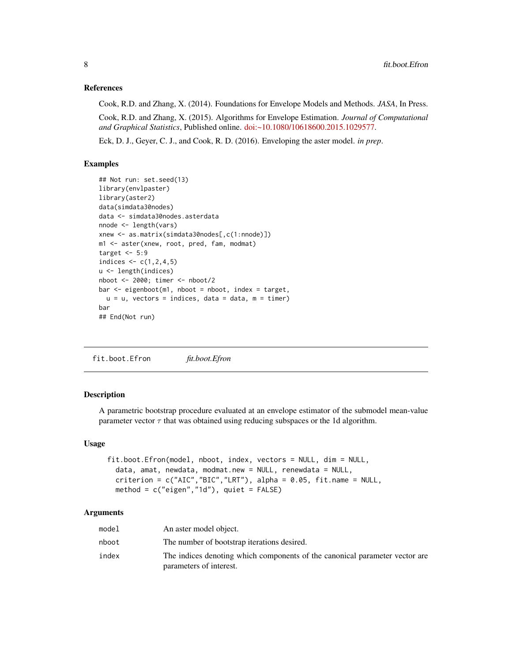#### <span id="page-7-0"></span>References

Cook, R.D. and Zhang, X. (2014). Foundations for Envelope Models and Methods. *JASA*, In Press.

Cook, R.D. and Zhang, X. (2015). Algorithms for Envelope Estimation. *Journal of Computational and Graphical Statistics*, Published online. [doi:~10.1080/10618600.2015.1029577.](http://doi.org/10.1080/10618600.2015.1029577)

Eck, D. J., Geyer, C. J., and Cook, R. D. (2016). Enveloping the aster model. *in prep*.

# Examples

```
## Not run: set.seed(13)
library(envlpaster)
library(aster2)
data(simdata30nodes)
data <- simdata30nodes.asterdata
nnode <- length(vars)
xnew <- as.matrix(simdata30nodes[,c(1:nnode)])
m1 <- aster(xnew, root, pred, fam, modmat)
target <-5:9indices <-c(1,2,4,5)u <- length(indices)
nboot <- 2000; timer <- nboot/2
bar \leq eigenboot(m1, nboot = nboot, index = target,
  u = u, vectors = indices, data = data, m = timer)
bar
## End(Not run)
```
fit.boot.Efron *fit.boot.Efron*

# **Description**

A parametric bootstrap procedure evaluated at an envelope estimator of the submodel mean-value parameter vector  $\tau$  that was obtained using reducing subspaces or the 1d algorithm.

#### Usage

```
fit.boot.Efron(model, nboot, index, vectors = NULL, dim = NULL,
 data, amat, newdata, modmat.new = NULL, renewdata = NULL,
 criterion = c("AIC", "BIC", "LRT"), alpha = 0.05, fit.name = NULL,
 method = c("eigen","1d"), quiet = FALSE)
```
# Arguments

| model | An aster model object.                                                                                 |
|-------|--------------------------------------------------------------------------------------------------------|
| nboot | The number of bootstrap iterations desired.                                                            |
| index | The indices denoting which components of the canonical parameter vector are<br>parameters of interest. |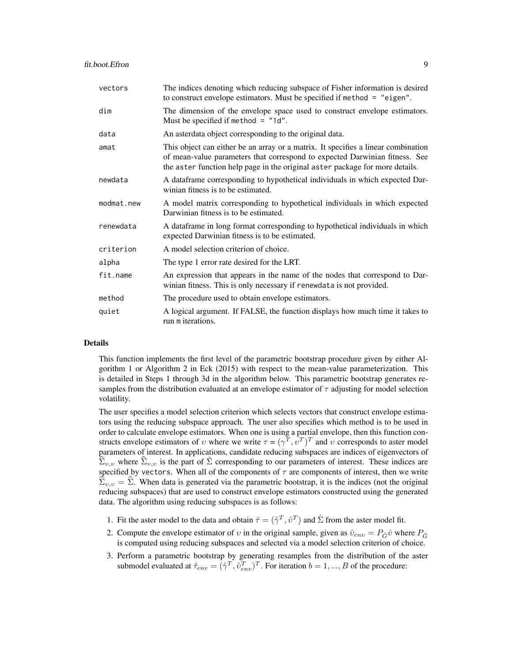| vectors    | The indices denoting which reducing subspace of Fisher information is desired<br>to construct envelope estimators. Must be specified if method $=$ "eigen".                                                                                      |
|------------|--------------------------------------------------------------------------------------------------------------------------------------------------------------------------------------------------------------------------------------------------|
| dim        | The dimension of the envelope space used to construct envelope estimators.<br>Must be specified if method = $"1d".$                                                                                                                              |
| data       | An asterdata object corresponding to the original data.                                                                                                                                                                                          |
| amat       | This object can either be an array or a matrix. It specifies a linear combination<br>of mean-value parameters that correspond to expected Darwinian fitness. See<br>the aster function help page in the original aster package for more details. |
| newdata    | A dataframe corresponding to hypothetical individuals in which expected Dar-<br>winian fitness is to be estimated.                                                                                                                               |
| modmat.new | A model matrix corresponding to hypothetical individuals in which expected<br>Darwinian fitness is to be estimated.                                                                                                                              |
| renewdata  | A data frame in long format corresponding to hypothetical individuals in which<br>expected Darwinian fitness is to be estimated.                                                                                                                 |
| criterion  | A model selection criterion of choice.                                                                                                                                                                                                           |
| alpha      | The type 1 error rate desired for the LRT.                                                                                                                                                                                                       |
| fit.name   | An expression that appears in the name of the nodes that correspond to Dar-<br>winian fitness. This is only necessary if renewdata is not provided.                                                                                              |
| method     | The procedure used to obtain envelope estimators.                                                                                                                                                                                                |
| quiet      | A logical argument. If FALSE, the function displays how much time it takes to<br>run m iterations.                                                                                                                                               |

#### Details

This function implements the first level of the parametric bootstrap procedure given by either Algorithm 1 or Algorithm 2 in Eck (2015) with respect to the mean-value parameterization. This is detailed in Steps 1 through 3d in the algorithm below. This parametric bootstrap generates resamples from the distribution evaluated at an envelope estimator of  $\tau$  adjusting for model selection volatility.

The user specifies a model selection criterion which selects vectors that construct envelope estimators using the reducing subspace approach. The user also specifies which method is to be used in order to calculate envelope estimators. When one is using a partial envelope, then this function constructs envelope estimators of v where we write  $\tau = (\gamma^T, \nu^T)^T$  and v corresponds to aster model parameters of interest. In applications, candidate reducing subspaces are indices of eigenvectors of  $\widehat{\Sigma}_{v,v}$  where  $\widehat{\Sigma}_{v,v}$  is the part of  $\widehat{\Sigma}$  corresponding to our parameters of interest. These indices are specified by vectors. When all of the components of  $\tau$  are components of interest, then we write  $\widehat{\Sigma}_{v,v} = \widehat{\Sigma}$ . When data is generated via the parametric bootstrap, it is the indices (not the original reducing subspaces) that are used to construct envelope estimators constructed using the generated data. The algorithm using reducing subspaces is as follows:

- 1. Fit the aster model to the data and obtain  $\hat{\tau} = (\hat{\gamma}^T, \hat{v}^T)$  and  $\hat{\Sigma}$  from the aster model fit.
- 2. Compute the envelope estimator of v in the original sample, given as  $\hat{v}_{env} = P_{\hat{G}} \hat{v}$  where  $P_{\hat{G}}$ is computed using reducing subspaces and selected via a model selection criterion of choice.
- 3. Perform a parametric bootstrap by generating resamples from the distribution of the aster submodel evaluated at  $\hat{\tau}_{env} = (\hat{\gamma}^T, \hat{v}_{env}^T)^T$ . For iteration  $b = 1, ..., B$  of the procedure: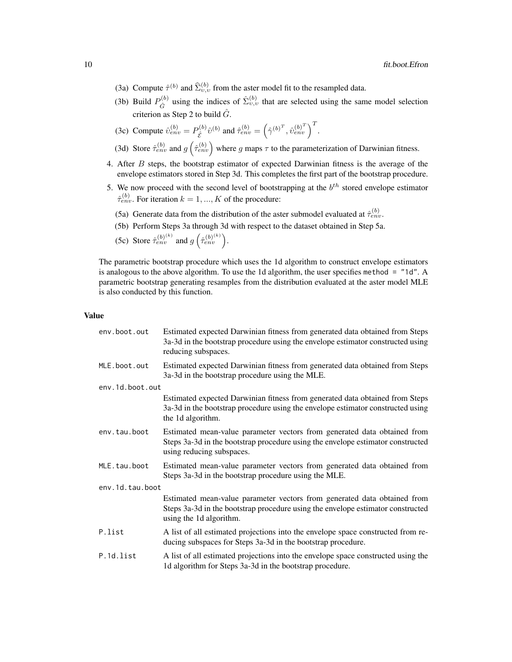- (3a) Compute  $\hat{\tau}^{(b)}$  and  $\hat{\Sigma}_{v,v}^{(b)}$  from the aster model fit to the resampled data.
- (3b) Build  $P_{\hat{G}}^{(b)}$  $S_{\hat{G}}^{(b)}$  using the indices of  $\hat{\Sigma}_{v,v}^{(b)}$  that are selected using the same model selection criterion as Step 2 to build  $\hat{G}$ .
- (3c) Compute  $\hat{v}_{env}^{(b)} = P_{\hat{\mathcal{E}}}^{(b)}$  $\hat{z}^{(b)}\hat{v}^{(b)}$  and  $\hat{\tau}_{env}^{(b)} = (\hat{\gamma}^{(b)^{T}}, \hat{v}_{env}^{(b)^{T}})^{T}$ .
- (3d) Store  $\hat{\tau}_{env}^{(b)}$  and  $g\left(\hat{\tau}_{env}^{(b)}\right)$  where g maps  $\tau$  to the parameterization of Darwinian fitness.
- 4. After B steps, the bootstrap estimator of expected Darwinian fitness is the average of the envelope estimators stored in Step 3d. This completes the first part of the bootstrap procedure.
- 5. We now proceed with the second level of bootstrapping at the  $b<sup>th</sup>$  stored envelope estimator  $\hat{\tau}_{env}^{(b)}$ . For iteration  $k = 1, ..., K$  of the procedure:
	- (5a) Generate data from the distribution of the aster submodel evaluated at  $\hat{\tau}_{env}^{(b)}$ .
	- (5b) Perform Steps 3a through 3d with respect to the dataset obtained in Step 5a.

(5c) Store  $\hat{\tau}_{env}^{(b)}$  and  $g\left(\hat{\tau}_{env}^{(b)}\right)$ .

The parametric bootstrap procedure which uses the 1d algorithm to construct envelope estimators is analogous to the above algorithm. To use the 1d algorithm, the user specifies method  $=$  "1d". A parametric bootstrap generating resamples from the distribution evaluated at the aster model MLE is also conducted by this function.

#### Value

| env.boot.out    | Estimated expected Darwinian fitness from generated data obtained from Steps<br>3a-3d in the bootstrap procedure using the envelope estimator constructed using<br>reducing subspaces.   |
|-----------------|------------------------------------------------------------------------------------------------------------------------------------------------------------------------------------------|
| MLE.boot.out    | Estimated expected Darwinian fitness from generated data obtained from Steps<br>3a-3d in the bootstrap procedure using the MLE.                                                          |
| env.1d.boot.out |                                                                                                                                                                                          |
|                 | Estimated expected Darwinian fitness from generated data obtained from Steps<br>3a-3d in the bootstrap procedure using the envelope estimator constructed using<br>the 1d algorithm.     |
| env.tau.boot    | Estimated mean-value parameter vectors from generated data obtained from<br>Steps 3a-3d in the bootstrap procedure using the envelope estimator constructed<br>using reducing subspaces. |
| MLE.tau.boot    | Estimated mean-value parameter vectors from generated data obtained from<br>Steps 3a-3d in the bootstrap procedure using the MLE.                                                        |
| env.1d.tau.boot |                                                                                                                                                                                          |
|                 | Estimated mean-value parameter vectors from generated data obtained from<br>Steps 3a-3d in the bootstrap procedure using the envelope estimator constructed<br>using the 1d algorithm.   |
| P.list          | A list of all estimated projections into the envelope space constructed from re-<br>ducing subspaces for Steps 3a-3d in the bootstrap procedure.                                         |
| P.1d.list       | A list of all estimated projections into the envelope space constructed using the<br>1d algorithm for Steps 3a-3d in the bootstrap procedure.                                            |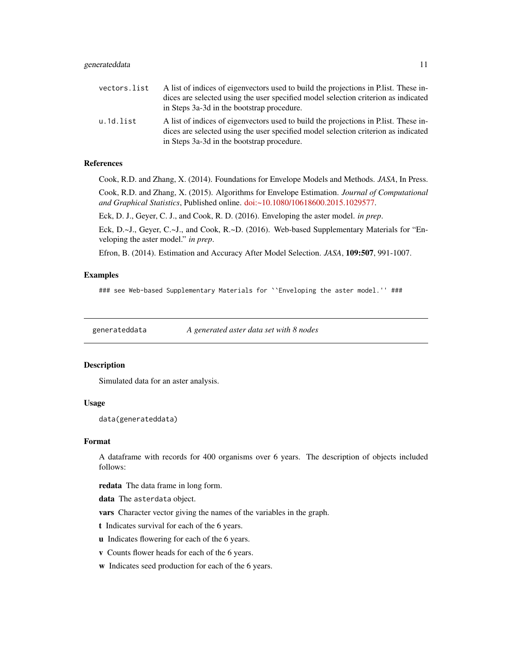<span id="page-10-0"></span>

| vectors.list | A list of indices of eigenvectors used to build the projections in P. list. These in- |
|--------------|---------------------------------------------------------------------------------------|
|              | dices are selected using the user specified model selection criterion as indicated    |
|              | in Steps 3a-3d in the bootstrap procedure.                                            |
| u.1d.list    | A list of indices of eigenvectors used to build the projections in P. list. These in- |
|              | dices are selected using the user specified model selection criterion as indicated    |
|              | in Steps 3a-3d in the bootstrap procedure.                                            |

#### References

Cook, R.D. and Zhang, X. (2014). Foundations for Envelope Models and Methods. *JASA*, In Press.

Cook, R.D. and Zhang, X. (2015). Algorithms for Envelope Estimation. *Journal of Computational and Graphical Statistics*, Published online. [doi:~10.1080/10618600.2015.1029577.](http://doi.org/10.1080/10618600.2015.1029577)

Eck, D. J., Geyer, C. J., and Cook, R. D. (2016). Enveloping the aster model. *in prep*.

Eck, D.~J., Geyer, C.~J., and Cook, R.~D. (2016). Web-based Supplementary Materials for "Enveloping the aster model." *in prep*.

Efron, B. (2014). Estimation and Accuracy After Model Selection. *JASA*, 109:507, 991-1007.

#### Examples

### see Web-based Supplementary Materials for ``Enveloping the aster model.'' ###

generateddata *A generated aster data set with 8 nodes*

#### Description

Simulated data for an aster analysis.

#### Usage

data(generateddata)

#### Format

A dataframe with records for 400 organisms over 6 years. The description of objects included follows:

redata The data frame in long form.

data The asterdata object.

vars Character vector giving the names of the variables in the graph.

t Indicates survival for each of the 6 years.

- u Indicates flowering for each of the 6 years.
- v Counts flower heads for each of the 6 years.
- w Indicates seed production for each of the 6 years.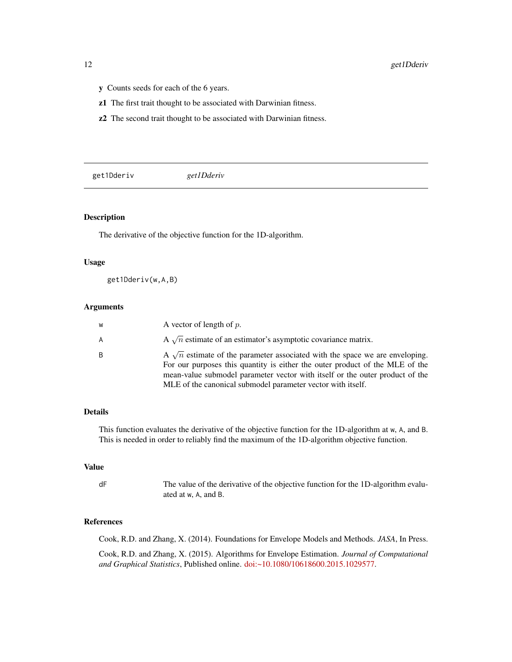- <span id="page-11-0"></span>y Counts seeds for each of the 6 years.
- z1 The first trait thought to be associated with Darwinian fitness.
- z2 The second trait thought to be associated with Darwinian fitness.

get1Dderiv *get1Dderiv*

# Description

The derivative of the objective function for the 1D-algorithm.

#### Usage

get1Dderiv(w,A,B)

#### Arguments

| W | A vector of length of $p$ .                                                                                                                                                                                                                                                                                        |
|---|--------------------------------------------------------------------------------------------------------------------------------------------------------------------------------------------------------------------------------------------------------------------------------------------------------------------|
| A | A $\sqrt{n}$ estimate of an estimator's asymptotic covariance matrix.                                                                                                                                                                                                                                              |
| B | A $\sqrt{n}$ estimate of the parameter associated with the space we are enveloping.<br>For our purposes this quantity is either the outer product of the MLE of the<br>mean-value submodel parameter vector with itself or the outer product of the<br>MLE of the canonical submodel parameter vector with itself. |

#### Details

This function evaluates the derivative of the objective function for the 1D-algorithm at w, A, and B. This is needed in order to reliably find the maximum of the 1D-algorithm objective function.

#### Value

```
dF The value of the derivative of the objective function for the 1D-algorithm evalu-
                 ated at w, A, and B.
```
# References

Cook, R.D. and Zhang, X. (2014). Foundations for Envelope Models and Methods. *JASA*, In Press.

Cook, R.D. and Zhang, X. (2015). Algorithms for Envelope Estimation. *Journal of Computational and Graphical Statistics*, Published online. [doi:~10.1080/10618600.2015.1029577.](http://doi.org/10.1080/10618600.2015.1029577)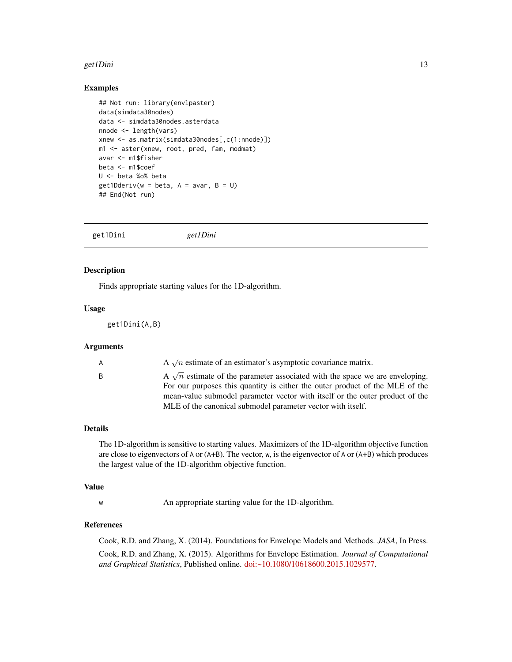#### <span id="page-12-0"></span>get1Dini 13

## Examples

```
## Not run: library(envlpaster)
data(simdata30nodes)
data <- simdata30nodes.asterdata
nnode <- length(vars)
xnew <- as.matrix(simdata30nodes[,c(1:nnode)])
m1 <- aster(xnew, root, pred, fam, modmat)
avar <- m1$fisher
beta <- m1$coef
U <- beta %o% beta
get1Dderiv(w = beta, A = avar, B = U)## End(Not run)
```
get1Dini *get1Dini*

#### Description

Finds appropriate starting values for the 1D-algorithm.

# Usage

get1Dini(A,B)

#### Arguments

| A $\sqrt{n}$ estimate of an estimator's asymptotic covariance matrix.<br>A<br>B<br>MLE of the canonical submodel parameter vector with itself. |  |                                                                                                                                                                     |
|------------------------------------------------------------------------------------------------------------------------------------------------|--|---------------------------------------------------------------------------------------------------------------------------------------------------------------------|
|                                                                                                                                                |  |                                                                                                                                                                     |
|                                                                                                                                                |  | A $\sqrt{n}$ estimate of the parameter associated with the space we are enveloping.<br>For our purposes this quantity is either the outer product of the MLE of the |
|                                                                                                                                                |  | mean-value submodel parameter vector with itself or the outer product of the                                                                                        |
|                                                                                                                                                |  |                                                                                                                                                                     |

# Details

The 1D-algorithm is sensitive to starting values. Maximizers of the 1D-algorithm objective function are close to eigenvectors of A or (A+B). The vector, w, is the eigenvector of A or (A+B) which produces the largest value of the 1D-algorithm objective function.

#### Value

w An appropriate starting value for the 1D-algorithm.

#### References

Cook, R.D. and Zhang, X. (2014). Foundations for Envelope Models and Methods. *JASA*, In Press. Cook, R.D. and Zhang, X. (2015). Algorithms for Envelope Estimation. *Journal of Computational and Graphical Statistics*, Published online. [doi:~10.1080/10618600.2015.1029577.](http://doi.org/10.1080/10618600.2015.1029577)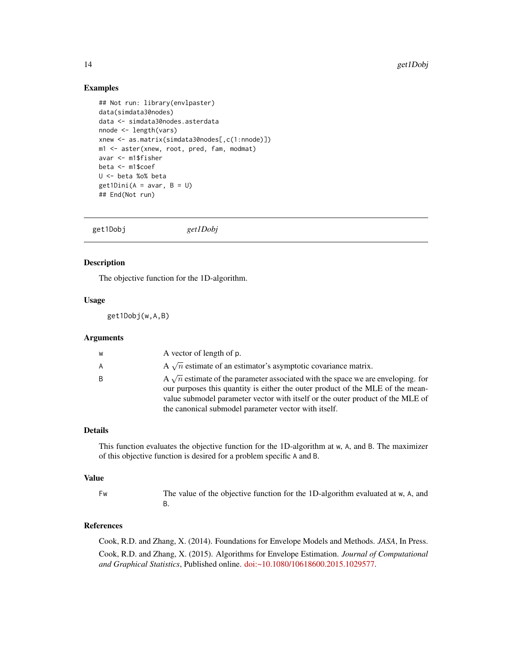## <span id="page-13-0"></span>Examples

```
## Not run: library(envlpaster)
data(simdata30nodes)
data <- simdata30nodes.asterdata
nnode <- length(vars)
xnew <- as.matrix(simdata30nodes[,c(1:nnode)])
m1 <- aster(xnew, root, pred, fam, modmat)
avar <- m1$fisher
beta <- m1$coef
U <- beta %o% beta
get1Dini(A = avar, B = U)## End(Not run)
```
get1Dobj *get1Dobj*

#### Description

The objective function for the 1D-algorithm.

#### Usage

get1Dobj(w,A,B)

#### Arguments

| W | A vector of length of p.                                                                                                                                                                                                                                    |
|---|-------------------------------------------------------------------------------------------------------------------------------------------------------------------------------------------------------------------------------------------------------------|
| A | A $\sqrt{n}$ estimate of an estimator's asymptotic covariance matrix.                                                                                                                                                                                       |
| B | A $\sqrt{n}$ estimate of the parameter associated with the space we are enveloping. for<br>our purposes this quantity is either the outer product of the MLE of the mean-<br>value submodel parameter vector with itself or the outer product of the MLE of |
|   | the canonical submodel parameter vector with itself.                                                                                                                                                                                                        |

#### Details

This function evaluates the objective function for the 1D-algorithm at w, A, and B. The maximizer of this objective function is desired for a problem specific A and B.

#### Value

Fw The value of the objective function for the 1D-algorithm evaluated at w, A, and B.

# References

Cook, R.D. and Zhang, X. (2014). Foundations for Envelope Models and Methods. *JASA*, In Press. Cook, R.D. and Zhang, X. (2015). Algorithms for Envelope Estimation. *Journal of Computational and Graphical Statistics*, Published online. [doi:~10.1080/10618600.2015.1029577.](http://doi.org/10.1080/10618600.2015.1029577)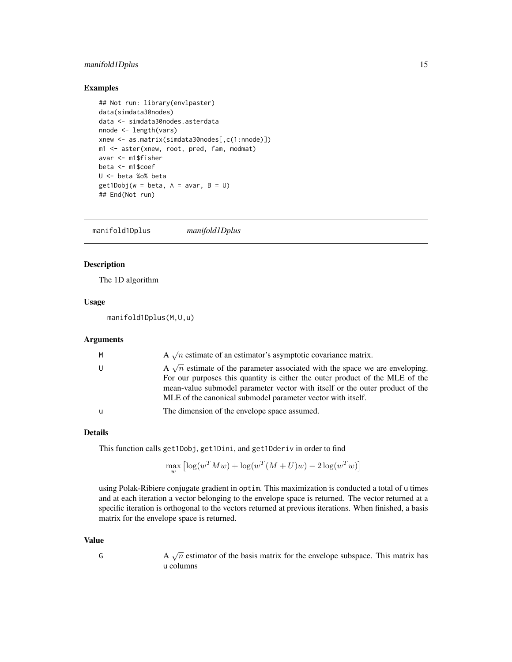# <span id="page-14-0"></span>manifold1Dplus 15

# Examples

```
## Not run: library(envlpaster)
data(simdata30nodes)
data <- simdata30nodes.asterdata
nnode <- length(vars)
xnew <- as.matrix(simdata30nodes[,c(1:nnode)])
m1 <- aster(xnew, root, pred, fam, modmat)
avar <- m1$fisher
beta <- m1$coef
U <- beta %o% beta
get1Dobj(w = beta, A = avar, B = U)## End(Not run)
```
manifold1Dplus *manifold1Dplus*

#### Description

The 1D algorithm

### Usage

manifold1Dplus(M,U,u)

#### Arguments

| M | A $\sqrt{n}$ estimate of an estimator's asymptotic covariance matrix.                                                                                                                                                                                                                                              |
|---|--------------------------------------------------------------------------------------------------------------------------------------------------------------------------------------------------------------------------------------------------------------------------------------------------------------------|
|   | A $\sqrt{n}$ estimate of the parameter associated with the space we are enveloping.<br>For our purposes this quantity is either the outer product of the MLE of the<br>mean-value submodel parameter vector with itself or the outer product of the<br>MLE of the canonical submodel parameter vector with itself. |
|   | The dimension of the envelope space assumed.                                                                                                                                                                                                                                                                       |

#### Details

This function calls get1Dobj, get1Dini, and get1Dderiv in order to find

$$
\max_{w} \left[ \log(w^{T} M w) + \log(w^{T} (M + U) w) - 2 \log(w^{T} w) \right]
$$

using Polak-Ribiere conjugate gradient in optim. This maximization is conducted a total of u times and at each iteration a vector belonging to the envelope space is returned. The vector returned at a specific iteration is orthogonal to the vectors returned at previous iterations. When finished, a basis matrix for the envelope space is returned.

#### Value

- 
- G A  $\sqrt{n}$  estimator of the basis matrix for the envelope subspace. This matrix has u columns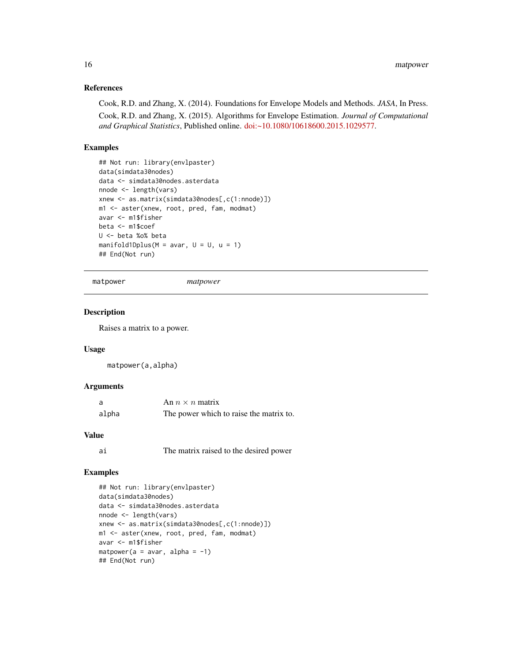# <span id="page-15-0"></span>References

Cook, R.D. and Zhang, X. (2014). Foundations for Envelope Models and Methods. *JASA*, In Press. Cook, R.D. and Zhang, X. (2015). Algorithms for Envelope Estimation. *Journal of Computational and Graphical Statistics*, Published online. [doi:~10.1080/10618600.2015.1029577.](http://doi.org/10.1080/10618600.2015.1029577)

# Examples

```
## Not run: library(envlpaster)
data(simdata30nodes)
data <- simdata30nodes.asterdata
nnode <- length(vars)
xnew <- as.matrix(simdata30nodes[,c(1:nnode)])
m1 <- aster(xnew, root, pred, fam, modmat)
avar <- m1$fisher
beta <- m1$coef
U <- beta %o% beta
manifold1Dplus(M = avar, U = U, u = 1)
## End(Not run)
```

```
matpower matpower
```
#### Description

Raises a matrix to a power.

# Usage

matpower(a,alpha)

## Arguments

| a     | An $n \times n$ matrix                  |
|-------|-----------------------------------------|
| alpha | The power which to raise the matrix to. |

#### Value

| aı | The matrix raised to the desired power |  |  |  |  |
|----|----------------------------------------|--|--|--|--|
|----|----------------------------------------|--|--|--|--|

#### Examples

```
## Not run: library(envlpaster)
data(simdata30nodes)
data <- simdata30nodes.asterdata
nnode <- length(vars)
xnew <- as.matrix(simdata30nodes[,c(1:nnode)])
m1 <- aster(xnew, root, pred, fam, modmat)
avar <- m1$fisher
matpower(a = a\varphi, alpha = -1)
## End(Not run)
```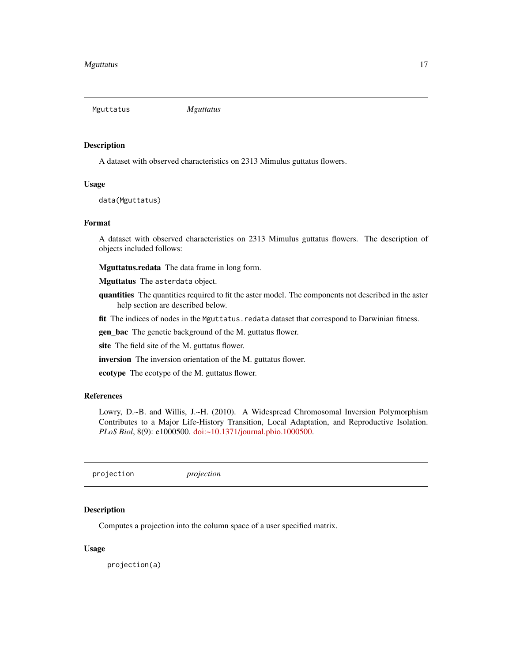<span id="page-16-0"></span>Mguttatus *Mguttatus*

#### Description

A dataset with observed characteristics on 2313 Mimulus guttatus flowers.

# Usage

data(Mguttatus)

#### Format

A dataset with observed characteristics on 2313 Mimulus guttatus flowers. The description of objects included follows:

Mguttatus.redata The data frame in long form.

Mguttatus The asterdata object.

quantities The quantities required to fit the aster model. The components not described in the aster help section are described below.

fit The indices of nodes in the Mguttatus.redata dataset that correspond to Darwinian fitness.

gen\_bac The genetic background of the M. guttatus flower.

site The field site of the M. guttatus flower.

inversion The inversion orientation of the M. guttatus flower.

ecotype The ecotype of the M. guttatus flower.

### References

Lowry, D.~B. and Willis, J.~H. (2010). A Widespread Chromosomal Inversion Polymorphism Contributes to a Major Life-History Transition, Local Adaptation, and Reproductive Isolation. *PLoS Biol*, 8(9): e1000500. [doi:~10.1371/journal.pbio.1000500.](http://doi.org/10.1371/journal.pbio.1000500)

projection *projection*

### Description

Computes a projection into the column space of a user specified matrix.

#### Usage

projection(a)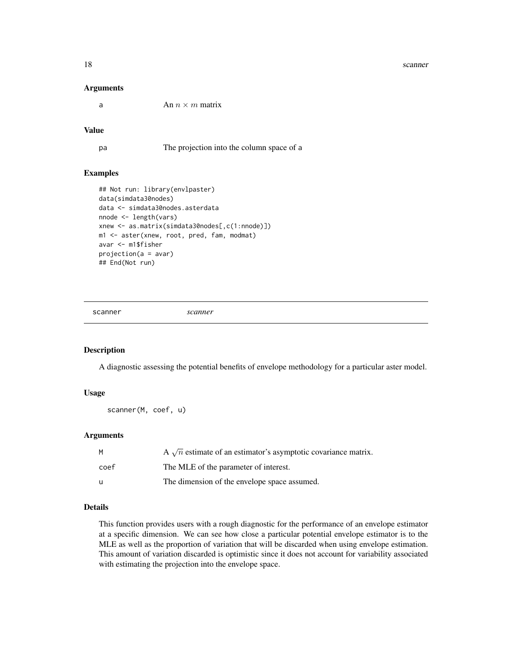#### <span id="page-17-0"></span>18 scanner and the set of the set of the set of the set of the set of the set of the set of the set of the set of the set of the set of the set of the set of the set of the set of the set of the set of the set of the set o

#### Arguments

a An  $n \times m$  matrix

#### Value

pa The projection into the column space of a

#### Examples

```
## Not run: library(envlpaster)
data(simdata30nodes)
data <- simdata30nodes.asterdata
nnode <- length(vars)
xnew <- as.matrix(simdata30nodes[,c(1:nnode)])
m1 <- aster(xnew, root, pred, fam, modmat)
avar <- m1$fisher
projection(a = avar)
## End(Not run)
```
scanner *scanner*

# Description

A diagnostic assessing the potential benefits of envelope methodology for a particular aster model.

#### Usage

scanner(M, coef, u)

#### Arguments

| М    | A $\sqrt{n}$ estimate of an estimator's asymptotic covariance matrix. |
|------|-----------------------------------------------------------------------|
| coef | The MLE of the parameter of interest.                                 |
| u    | The dimension of the envelope space assumed.                          |

#### Details

This function provides users with a rough diagnostic for the performance of an envelope estimator at a specific dimension. We can see how close a particular potential envelope estimator is to the MLE as well as the proportion of variation that will be discarded when using envelope estimation. This amount of variation discarded is optimistic since it does not account for variability associated with estimating the projection into the envelope space.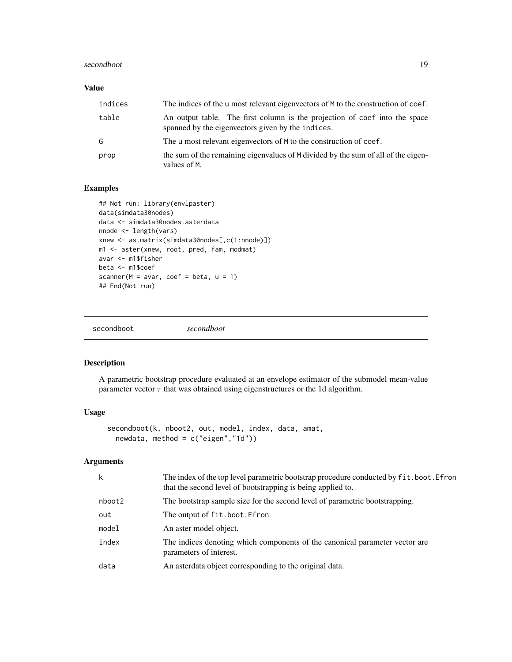#### <span id="page-18-0"></span>secondboot and the second second second second second second second second second second second second second second second second second second second second second second second second second second second second second

# Value

| indices | The indices of the u most relevant eigenvectors of M to the construction of coef.                                               |
|---------|---------------------------------------------------------------------------------------------------------------------------------|
| table   | An output table. The first column is the projection of coef into the space<br>spanned by the eigenvectors given by the indices. |
| G       | The u most relevant eigenvectors of M to the construction of coef.                                                              |
| prop    | the sum of the remaining eigenvalues of M divided by the sum of all of the eigen-<br>values of M.                               |

# Examples

```
## Not run: library(envlpaster)
data(simdata30nodes)
data <- simdata30nodes.asterdata
nnode <- length(vars)
xnew <- as.matrix(simdata30nodes[,c(1:nnode)])
m1 <- aster(xnew, root, pred, fam, modmat)
avar <- m1$fisher
beta <- m1$coef
scanner(M = avar, coef = beta, u = 1)
## End(Not run)
```

| secondboot | secondboot |
|------------|------------|
|            |            |

# Description

A parametric bootstrap procedure evaluated at an envelope estimator of the submodel mean-value parameter vector  $\tau$  that was obtained using eigenstructures or the 1d algorithm.

#### Usage

```
secondboot(k, nboot2, out, model, index, data, amat,
 newdata, method = c("eigen", "1d")
```
# Arguments

| k      | The index of the top level parametric bootstrap procedure conducted by fit.boot. Efron<br>that the second level of bootstrapping is being applied to. |
|--------|-------------------------------------------------------------------------------------------------------------------------------------------------------|
| nboot2 | The bootstrap sample size for the second level of parametric bootstrapping.                                                                           |
| out    | The output of fit.boot.Efron.                                                                                                                         |
| model  | An aster model object.                                                                                                                                |
| index  | The indices denoting which components of the canonical parameter vector are<br>parameters of interest.                                                |
| data   | An asterdata object corresponding to the original data.                                                                                               |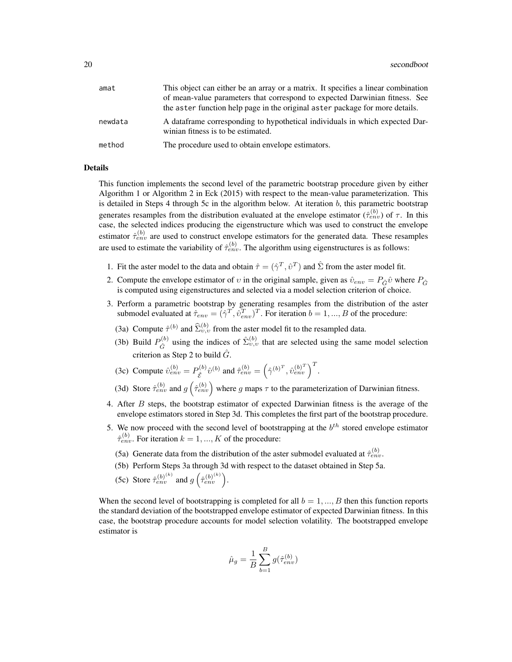| amat    | This object can either be an array or a matrix. It specifies a linear combination                                  |
|---------|--------------------------------------------------------------------------------------------------------------------|
|         | of mean-value parameters that correspond to expected Darwinian fitness. See                                        |
|         | the aster function help page in the original aster package for more details.                                       |
| newdata | A dataframe corresponding to hypothetical individuals in which expected Dar-<br>winian fitness is to be estimated. |
| method  | The procedure used to obtain envelope estimators.                                                                  |

#### Details

This function implements the second level of the parametric bootstrap procedure given by either Algorithm 1 or Algorithm 2 in Eck (2015) with respect to the mean-value parameterization. This is detailed in Steps 4 through 5c in the algorithm below. At iteration  $b$ , this parametric bootstrap generates resamples from the distribution evaluated at the envelope estimator  $(\hat{\tau}_{env}^{(b)})$  of  $\tau$ . In this case, the selected indices producing the eigenstructure which was used to construct the envelope estimator  $\hat{\tau}_{env}^{(b)}$  are used to construct envelope estimators for the generated data. These resamples are used to estimate the variability of  $\hat{\tau}_{env}^{(b)}$ . The algorithm using eigenstructures is as follows:

- 1. Fit the aster model to the data and obtain  $\hat{\tau} = (\hat{\gamma}^T, \hat{v}^T)$  and  $\hat{\Sigma}$  from the aster model fit.
- 2. Compute the envelope estimator of v in the original sample, given as  $\hat{v}_{env} = P_{\hat{G}} \hat{v}$  where  $P_{\hat{G}}$ is computed using eigenstructures and selected via a model selection criterion of choice.
- 3. Perform a parametric bootstrap by generating resamples from the distribution of the aster submodel evaluated at  $\hat{\tau}_{env} = (\hat{\gamma}^T, \hat{v}_{env}^T)^T$ . For iteration  $b = 1, ..., B$  of the procedure:
	- (3a) Compute  $\hat{\tau}^{(b)}$  and  $\hat{\Sigma}_{v,v}^{(b)}$  from the aster model fit to the resampled data.
	- (3b) Build  $P_{\hat{C}}^{(b)}$  $S_{\hat{G}}^{(b)}$  using the indices of  $\hat{\Sigma}_{v,v}^{(b)}$  that are selected using the same model selection criterion as Step 2 to build  $\hat{G}$ .

(3c) Compute 
$$
\hat{v}_{env}^{(b)} = P_{\hat{\mathcal{E}}}^{(b)} \hat{v}^{(b)}
$$
 and  $\hat{\tau}_{env}^{(b)} = (\hat{\gamma}^{(b)^T}, \hat{v}_{env}^{(b)^T})^T$ .

- (3d) Store  $\hat{\tau}_{env}^{(b)}$  and  $g\left(\hat{\tau}_{env}^{(b)}\right)$  where g maps  $\tau$  to the parameterization of Darwinian fitness.
- 4. After B steps, the bootstrap estimator of expected Darwinian fitness is the average of the envelope estimators stored in Step 3d. This completes the first part of the bootstrap procedure.
- 5. We now proceed with the second level of bootstrapping at the  $b<sup>th</sup>$  stored envelope estimator  $\hat{\tau}_{env}^{(b)}$ . For iteration  $k = 1, ..., K$  of the procedure:
	- (5a) Generate data from the distribution of the aster submodel evaluated at  $\hat{\tau}_{env}^{(b)}$ .
	- (5b) Perform Steps 3a through 3d with respect to the dataset obtained in Step 5a.
	- (5c) Store  $\hat{\tau}_{env}^{(b)}$  and  $g\left(\hat{\tau}_{env}^{(b)}\right)$ .

When the second level of bootstrapping is completed for all  $b = 1, ..., B$  then this function reports the standard deviation of the bootstrapped envelope estimator of expected Darwinian fitness. In this case, the bootstrap procedure accounts for model selection volatility. The bootstrapped envelope estimator is

$$
\hat{\mu}_g = \frac{1}{B} \sum_{b=1}^{B} g(\hat{\tau}_{env}^{(b)})
$$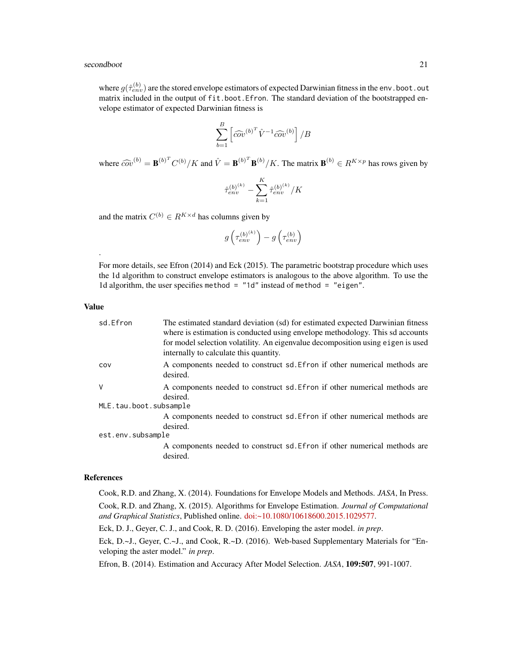#### secondboot 21

where  $g(\hat{\tau}_{env}^{(b)})$  are the stored envelope estimators of expected Darwinian fitness in the env. boot. out matrix included in the output of fit.boot.Efron. The standard deviation of the bootstrapped envelope estimator of expected Darwinian fitness is

$$
\sum_{b=1}^{B} \left[ \widehat{\omega v}^{(b)^{T}} \hat{V}^{-1} \widehat{\omega v}^{(b)} \right] / B
$$

where  $\widehat{cov}^{(b)} = \mathbf{B}^{(b)^T} C^{(b)} / K$  and  $\hat{V} = \mathbf{B}^{(b)^T} \mathbf{B}^{(b)} / K$ . The matrix  $\mathbf{B}^{(b)} \in R^{K \times p}$  has rows given by

$$
\hat{\tau}_{env}^{(b)^{(k)}} - \sum_{k=1}^{K} \hat{\tau}_{env}^{(b)^{(k)}} / K
$$

and the matrix  $C^{(b)} \in R^{K \times d}$  has columns given by

$$
g\left(\tau_{env}^{\left(b\right)^{\left(k\right)}}\right)-g\left(\tau_{env}^{\left(b\right)}\right)
$$

For more details, see Efron (2014) and Eck (2015). The parametric bootstrap procedure which uses the 1d algorithm to construct envelope estimators is analogous to the above algorithm. To use the 1d algorithm, the user specifies method = "1d" instead of method = "eigen".

#### Value

.

| sd.Efron               | The estimated standard deviation (sd) for estimated expected Darwinian fitness<br>where is estimation is conducted using envelope methodology. This sd accounts |
|------------------------|-----------------------------------------------------------------------------------------------------------------------------------------------------------------|
|                        | for model selection volatility. An eigenvalue decomposition using eigen is used<br>internally to calculate this quantity.                                       |
| COV                    | A components needed to construct sd. Efron if other numerical methods are<br>desired.                                                                           |
| $\vee$                 | A components needed to construct sd. Efron if other numerical methods are<br>desired.                                                                           |
| MLE.tau.boot.subsample |                                                                                                                                                                 |
|                        | A components needed to construct sd. Efron if other numerical methods are<br>desired.                                                                           |
| est.env.subsample      |                                                                                                                                                                 |
|                        | A components needed to construct sd. Efron if other numerical methods are<br>desired.                                                                           |

#### References

Cook, R.D. and Zhang, X. (2014). Foundations for Envelope Models and Methods. *JASA*, In Press. Cook, R.D. and Zhang, X. (2015). Algorithms for Envelope Estimation. *Journal of Computational and Graphical Statistics*, Published online. [doi:~10.1080/10618600.2015.1029577.](http://doi.org/10.1080/10618600.2015.1029577)

Eck, D. J., Geyer, C. J., and Cook, R. D. (2016). Enveloping the aster model. *in prep*.

Eck, D.~J., Geyer, C.~J., and Cook, R.~D. (2016). Web-based Supplementary Materials for "Enveloping the aster model." *in prep*.

Efron, B. (2014). Estimation and Accuracy After Model Selection. *JASA*, 109:507, 991-1007.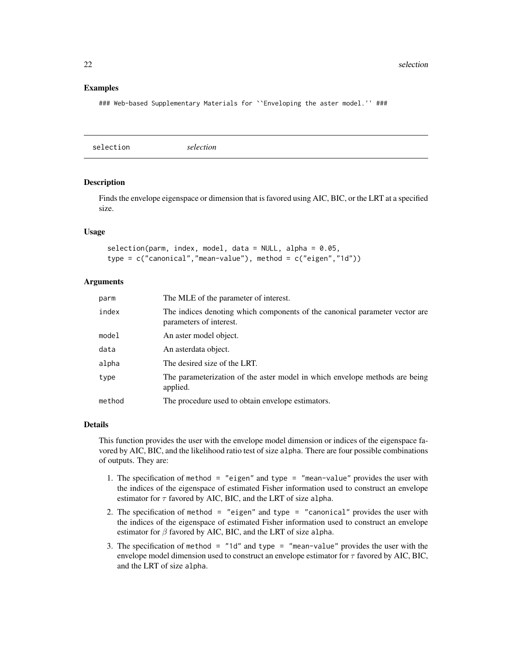#### <span id="page-21-0"></span>Examples

### Web-based Supplementary Materials for ``Enveloping the aster model.'' ###

selection *selection*

#### Description

Finds the envelope eigenspace or dimension that is favored using AIC, BIC, or the LRT at a specified size.

#### Usage

selection(parm, index, model, data = NULL, alpha = 0.05, type = c("canonical","mean-value"), method = c("eigen","1d"))

#### Arguments

| parm   | The MLE of the parameter of interest.                                                                  |
|--------|--------------------------------------------------------------------------------------------------------|
| index  | The indices denoting which components of the canonical parameter vector are<br>parameters of interest. |
| model  | An aster model object.                                                                                 |
| data   | An asterdata object.                                                                                   |
| alpha  | The desired size of the LRT.                                                                           |
| type   | The parameterization of the aster model in which envelope methods are being<br>applied.                |
| method | The procedure used to obtain envelope estimators.                                                      |

#### Details

This function provides the user with the envelope model dimension or indices of the eigenspace favored by AIC, BIC, and the likelihood ratio test of size alpha. There are four possible combinations of outputs. They are:

- 1. The specification of method = "eigen" and type = "mean-value" provides the user with the indices of the eigenspace of estimated Fisher information used to construct an envelope estimator for  $\tau$  favored by AIC, BIC, and the LRT of size alpha.
- 2. The specification of method  $=$  "eigen" and type  $=$  "canonical" provides the user with the indices of the eigenspace of estimated Fisher information used to construct an envelope estimator for  $\beta$  favored by AIC, BIC, and the LRT of size alpha.
- 3. The specification of method = "1d" and type = "mean-value" provides the user with the envelope model dimension used to construct an envelope estimator for  $\tau$  favored by AIC, BIC, and the LRT of size alpha.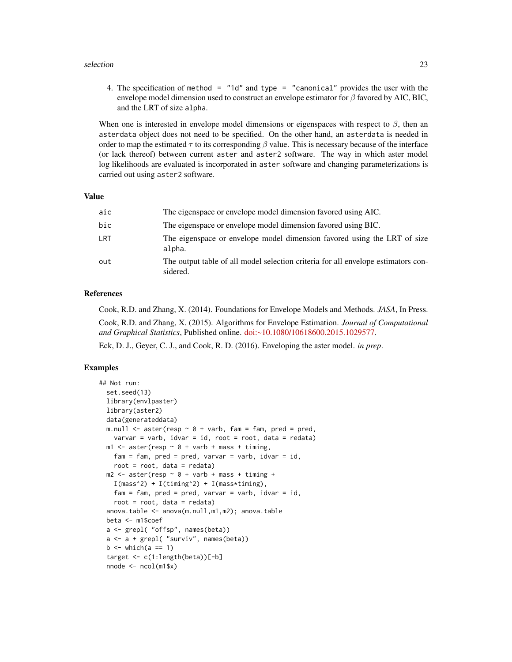#### selection 23

4. The specification of method =  $"1d"$  and type =  $"canonical"$  provides the user with the envelope model dimension used to construct an envelope estimator for  $\beta$  favored by AIC, BIC, and the LRT of size alpha.

When one is interested in envelope model dimensions or eigenspaces with respect to  $\beta$ , then an asterdata object does not need to be specified. On the other hand, an asterdata is needed in order to map the estimated  $\tau$  to its corresponding  $\beta$  value. This is necessary because of the interface (or lack thereof) between current aster and aster2 software. The way in which aster model log likelihoods are evaluated is incorporated in aster software and changing parameterizations is carried out using aster2 software.

#### Value

| aic | The eigenspace or envelope model dimension favored using AIC.                                 |
|-----|-----------------------------------------------------------------------------------------------|
| bic | The eigenspace or envelope model dimension favored using BIC.                                 |
| LRT | The eigenspace or envelope model dimension favored using the LRT of size<br>alpha.            |
| out | The output table of all model selection criteria for all envelope estimators con-<br>sidered. |

## References

Cook, R.D. and Zhang, X. (2014). Foundations for Envelope Models and Methods. *JASA*, In Press. Cook, R.D. and Zhang, X. (2015). Algorithms for Envelope Estimation. *Journal of Computational and Graphical Statistics*, Published online. [doi:~10.1080/10618600.2015.1029577.](http://doi.org/10.1080/10618600.2015.1029577)

Eck, D. J., Geyer, C. J., and Cook, R. D. (2016). Enveloping the aster model. *in prep*.

#### Examples

```
## Not run:
 set.seed(13)
 library(envlpaster)
 library(aster2)
 data(generateddata)
 m.null \leq aster(resp \sim 0 + varb, fam = fam, pred = pred,
    varvar = varb, idvar = id, root = root, data = redata)
 ml \leq -aster(resp \sim 0 + varb + mass + timing,fam = fam, pred = pred, varvar = varb, idvar = id,
   root = root, data = redata)
 m2 \le - aster(resp \sim 0 + varb + mass + timing +
    I(mass^2) + I(timing^2) + I(mass*timing),fam = fam, pred = pred, varv = varb, idvar = id,
   root = root, data = redata)
 anova.table <- anova(m.null,m1,m2); anova.table
 beta <- m1$coef
 a <- grepl( "offsp", names(beta))
 a \leftarrow a + \text{grepl}('"surviv", names(beta))b \le which(a == 1)
 target <- c(1:length(beta))[-b]
 nnode <- ncol(m1$x)
```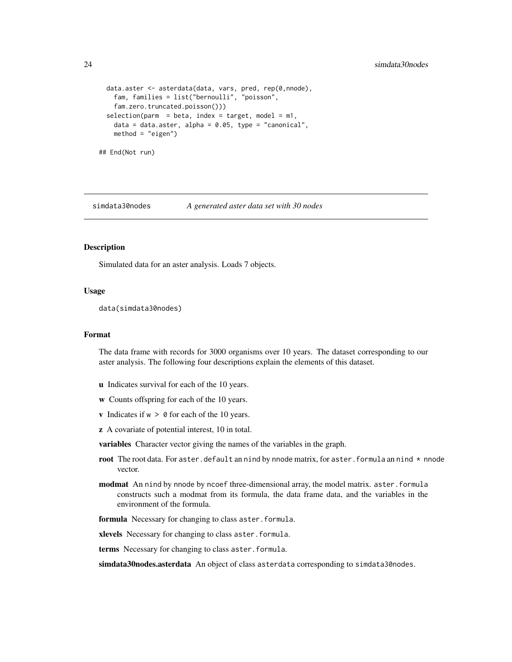```
data.aster <- asterdata(data, vars, pred, rep(0,nnode),
   fam, families = list("bernoulli", "poisson",
   fam.zero.truncated.poisson()))
 selection(param = beta, index = target, model = m1,data = data.aster, alpha = 0.05, type = "canonical",
   method = "eigen")
## End(Not run)
```
simdata30nodes *A generated aster data set with 30 nodes*

## Description

Simulated data for an aster analysis. Loads 7 objects.

#### Usage

data(simdata30nodes)

#### Format

The data frame with records for 3000 organisms over 10 years. The dataset corresponding to our aster analysis. The following four descriptions explain the elements of this dataset.

- u Indicates survival for each of the 10 years.
- w Counts offspring for each of the 10 years.
- v Indicates if  $w > 0$  for each of the 10 years.
- z A covariate of potential interest, 10 in total.

variables Character vector giving the names of the variables in the graph.

- root The root data. For aster.default an nind by nnode matrix, for aster.formula an nind  $*$  nnode vector.
- modmat An nind by nnode by ncoef three-dimensional array, the model matrix. aster.formula constructs such a modmat from its formula, the data frame data, and the variables in the environment of the formula.
- formula Necessary for changing to class aster.formula.

xlevels Necessary for changing to class aster.formula.

terms Necessary for changing to class aster.formula.

simdata30nodes.asterdata An object of class asterdata corresponding to simdata30nodes.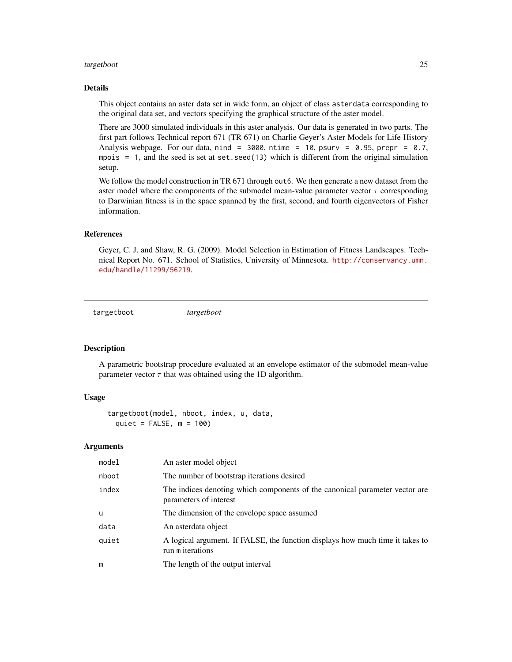#### <span id="page-24-0"></span>targetboot 25

#### Details

This object contains an aster data set in wide form, an object of class asterdata corresponding to the original data set, and vectors specifying the graphical structure of the aster model.

There are 3000 simulated individuals in this aster analysis. Our data is generated in two parts. The first part follows Technical report 671 (TR 671) on Charlie Geyer's Aster Models for Life History Analysis webpage. For our data, nind =  $3000$ , ntime =  $10$ , psurv = 0.95, prepr = 0.7, mpois = 1, and the seed is set at set.seed(13) which is different from the original simulation setup.

We follow the model construction in TR 671 through out 6. We then generate a new dataset from the aster model where the components of the submodel mean-value parameter vector  $\tau$  corresponding to Darwinian fitness is in the space spanned by the first, second, and fourth eigenvectors of Fisher information.

# References

Geyer, C. J. and Shaw, R. G. (2009). Model Selection in Estimation of Fitness Landscapes. Technical Report No. 671. School of Statistics, University of Minnesota. [http://conservancy.umn.](http://conservancy.umn.edu/handle/11299/56219) [edu/handle/11299/56219](http://conservancy.umn.edu/handle/11299/56219).

targetboot *targetboot*

#### Description

A parametric bootstrap procedure evaluated at an envelope estimator of the submodel mean-value parameter vector  $\tau$  that was obtained using the 1D algorithm.

## Usage

```
targetboot(model, nboot, index, u, data,
 quiet = FALSE, m = 100
```
#### Arguments

| model | An aster model object                                                                                 |
|-------|-------------------------------------------------------------------------------------------------------|
| nboot | The number of bootstrap iterations desired                                                            |
| index | The indices denoting which components of the canonical parameter vector are<br>parameters of interest |
| u     | The dimension of the envelope space assumed                                                           |
| data  | An asterdata object                                                                                   |
| quiet | A logical argument. If FALSE, the function displays how much time it takes to<br>run m iterations     |
| m     | The length of the output interval                                                                     |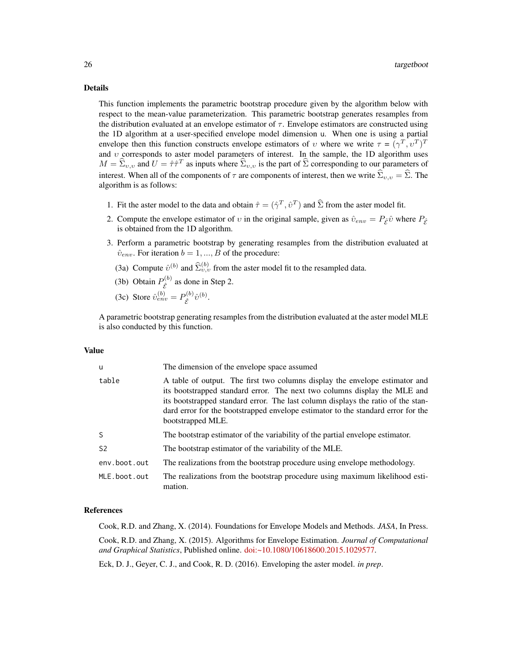#### Details

This function implements the parametric bootstrap procedure given by the algorithm below with respect to the mean-value parameterization. This parametric bootstrap generates resamples from the distribution evaluated at an envelope estimator of  $\tau$ . Envelope estimators are constructed using the 1D algorithm at a user-specified envelope model dimension u. When one is using a partial envelope then this function constructs envelope estimators of v where we write  $\tau = (\gamma^T, \nu^T)^T$ and v corresponds to aster model parameters of interest. In the sample, the 1D algorithm uses  $M = \hat{\Sigma}_{v,v}$  and  $U = \hat{\tau}\hat{\tau}^T$  as inputs where  $\hat{\Sigma}_{v,v}$  is the part of  $\hat{\Sigma}$  corresponding to our parameters of interest. When all of the components of  $\tau$  are components of interest, then we write  $\widehat{\Sigma}_{v,v} = \widehat{\Sigma}$ . The algorithm is as follows:

- 1. Fit the aster model to the data and obtain  $\hat{\tau} = (\hat{\gamma}^T, \hat{v}^T)$  and  $\hat{\Sigma}$  from the aster model fit.
- 2. Compute the envelope estimator of v in the original sample, given as  $\hat{v}_{env} = P_{\hat{\varepsilon}} \hat{v}$  where  $P_{\hat{\varepsilon}}$ is obtained from the 1D algorithm.
- 3. Perform a parametric bootstrap by generating resamples from the distribution evaluated at  $\hat{v}_{env}$ . For iteration  $b = 1, ..., B$  of the procedure:
	- (3a) Compute  $\hat{v}^{(b)}$  and  $\hat{\Sigma}_{v,v}^{(b)}$  from the aster model fit to the resampled data.
	- (3b) Obtain  $P_{\hat{\sigma}}^{(b)}$  $\hat{\varepsilon}^{(0)}$  as done in Step 2.

(3c) Store 
$$
\hat{v}_{env}^{(b)} = P_{\hat{\mathcal{E}}}^{(b)} \hat{v}^{(b)}
$$
.

A parametric bootstrap generating resamples from the distribution evaluated at the aster model MLE is also conducted by this function.

#### Value

| u              | The dimension of the envelope space assumed                                                                                                                                                                                                                                                                                                           |
|----------------|-------------------------------------------------------------------------------------------------------------------------------------------------------------------------------------------------------------------------------------------------------------------------------------------------------------------------------------------------------|
| table          | A table of output. The first two columns display the envelope estimator and<br>its bootstrapped standard error. The next two columns display the MLE and<br>its bootstrapped standard error. The last column displays the ratio of the stan-<br>dard error for the bootstrapped envelope estimator to the standard error for the<br>bootstrapped MLE. |
| S              | The bootstrap estimator of the variability of the partial envelope estimator.                                                                                                                                                                                                                                                                         |
| S <sub>2</sub> | The bootstrap estimator of the variability of the MLE.                                                                                                                                                                                                                                                                                                |
| env.boot.out   | The realizations from the bootstrap procedure using envelope methodology.                                                                                                                                                                                                                                                                             |
| MLE.boot.out   | The realizations from the bootstrap procedure using maximum likelihood esti-<br>mation.                                                                                                                                                                                                                                                               |

#### References

Cook, R.D. and Zhang, X. (2014). Foundations for Envelope Models and Methods. *JASA*, In Press. Cook, R.D. and Zhang, X. (2015). Algorithms for Envelope Estimation. *Journal of Computational and Graphical Statistics*, Published online. [doi:~10.1080/10618600.2015.1029577.](http://doi.org/10.1080/10618600.2015.1029577)

Eck, D. J., Geyer, C. J., and Cook, R. D. (2016). Enveloping the aster model. *in prep*.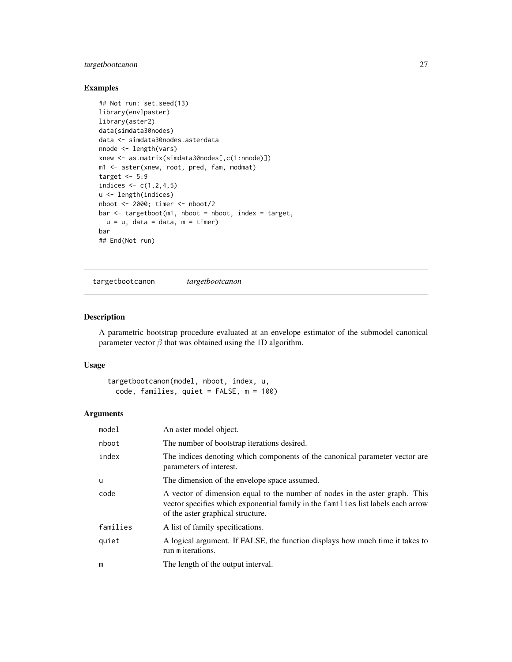# <span id="page-26-0"></span>targetbootcanon 27

# Examples

```
## Not run: set.seed(13)
library(envlpaster)
library(aster2)
data(simdata30nodes)
data <- simdata30nodes.asterdata
nnode <- length(vars)
xnew <- as.matrix(simdata30nodes[,c(1:nnode)])
m1 <- aster(xnew, root, pred, fam, modmat)
target <-5:9indices <-c(1, 2, 4, 5)u <- length(indices)
nboot <- 2000; timer <- nboot/2
bar <- targetboot(m1, nboot = nboot, index = target,
 u = u, data = data, m = timer)
bar
## End(Not run)
```
targetbootcanon *targetbootcanon*

# Description

A parametric bootstrap procedure evaluated at an envelope estimator of the submodel canonical parameter vector  $\beta$  that was obtained using the 1D algorithm.

#### Usage

```
targetbootcanon(model, nboot, index, u,
 code, families, quiet = FALSE, m = 100)
```
# Arguments

| model    | An aster model object.                                                                                                                                                                               |
|----------|------------------------------------------------------------------------------------------------------------------------------------------------------------------------------------------------------|
| nboot    | The number of bootstrap iterations desired.                                                                                                                                                          |
| index    | The indices denoting which components of the canonical parameter vector are<br>parameters of interest.                                                                                               |
| u        | The dimension of the envelope space assumed.                                                                                                                                                         |
| code     | A vector of dimension equal to the number of nodes in the aster graph. This<br>vector specifies which exponential family in the families list labels each arrow<br>of the aster graphical structure. |
| families | A list of family specifications.                                                                                                                                                                     |
| quiet    | A logical argument. If FALSE, the function displays how much time it takes to<br>run m iterations.                                                                                                   |
| m        | The length of the output interval.                                                                                                                                                                   |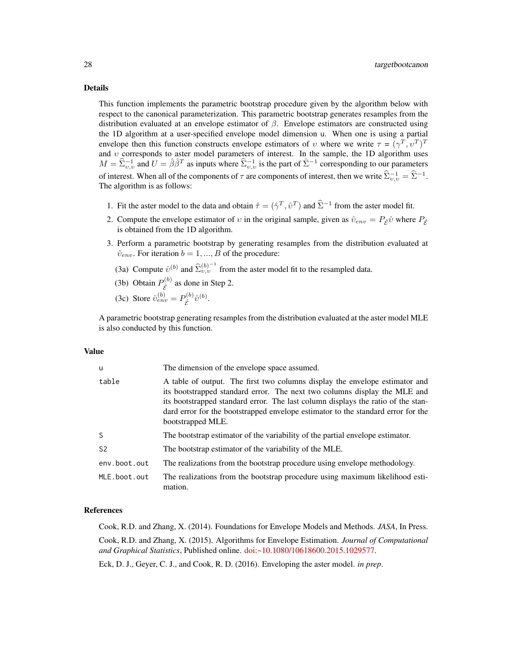#### Details

This function implements the parametric bootstrap procedure given by the algorithm below with respect to the canonical parameterization. This parametric bootstrap generates resamples from the distribution evaluated at an envelope estimator of  $\beta$ . Envelope estimators are constructed using the 1D algorithm at a user-specified envelope model dimension u. When one is using a partial envelope then this function constructs envelope estimators of v where we write  $\tau = (\gamma^T, \nu^T)^T$ and  $v$  corresponds to aster model parameters of interest. In the sample, the 1D algorithm uses  $M = \hat{\Sigma}_{v,v}^{-1}$  and  $U = \hat{\beta}\hat{\beta}^T$  as inputs where  $\hat{\Sigma}_{v,v}^{-1}$  is the part of  $\hat{\Sigma}^{-1}$  corresponding to our parameters of interest. When all of the components of  $\tau$  are components of interest, then we write  $\widehat{\Sigma}_{v,v}^{-1} = \widehat{\Sigma}^{-1}$ . The algorithm is as follows:

- 1. Fit the aster model to the data and obtain  $\hat{\tau} = (\hat{\gamma}^T, \hat{v}^T)$  and  $\hat{\Sigma}^{-1}$  from the aster model fit.
- 2. Compute the envelope estimator of v in the original sample, given as  $\hat{v}_{env} = P_{\hat{e}} \hat{v}$  where  $P_{\hat{e}}$ is obtained from the 1D algorithm.
- 3. Perform a parametric bootstrap by generating resamples from the distribution evaluated at  $\hat{v}_{env}$ . For iteration  $b = 1, ..., B$  of the procedure:
	- (3a) Compute  $\hat{v}^{(b)}$  and  $\hat{\Sigma}_{v,v}^{(b)^{-1}}$  from the aster model fit to the resampled data.
	- (3b) Obtain  $P_{\hat{\sigma}}^{(b)}$  $\hat{\varepsilon}^{(0)}$  as done in Step 2.

(3c) Store 
$$
\hat{v}_{env}^{(b)} = P_{\hat{\mathcal{E}}}^{(b)} \hat{v}^{(b)}
$$
.

A parametric bootstrap generating resamples from the distribution evaluated at the aster model MLE is also conducted by this function.

#### Value

| u              | The dimension of the envelope space assumed.                                                                                                                                                                                                                                                                                                          |
|----------------|-------------------------------------------------------------------------------------------------------------------------------------------------------------------------------------------------------------------------------------------------------------------------------------------------------------------------------------------------------|
| table          | A table of output. The first two columns display the envelope estimator and<br>its bootstrapped standard error. The next two columns display the MLE and<br>its bootstrapped standard error. The last column displays the ratio of the stan-<br>dard error for the bootstrapped envelope estimator to the standard error for the<br>bootstrapped MLE. |
| S.             | The bootstrap estimator of the variability of the partial envelope estimator.                                                                                                                                                                                                                                                                         |
| S <sub>2</sub> | The bootstrap estimator of the variability of the MLE.                                                                                                                                                                                                                                                                                                |
| env.boot.out   | The realizations from the bootstrap procedure using envelope methodology.                                                                                                                                                                                                                                                                             |
| MLE.boot.out   | The realizations from the bootstrap procedure using maximum likelihood esti-<br>mation.                                                                                                                                                                                                                                                               |

#### References

Cook, R.D. and Zhang, X. (2014). Foundations for Envelope Models and Methods. *JASA*, In Press.

Cook, R.D. and Zhang, X. (2015). Algorithms for Envelope Estimation. *Journal of Computational and Graphical Statistics*, Published online. [doi:~10.1080/10618600.2015.1029577.](http://doi.org/10.1080/10618600.2015.1029577)

Eck, D. J., Geyer, C. J., and Cook, R. D. (2016). Enveloping the aster model. *in prep*.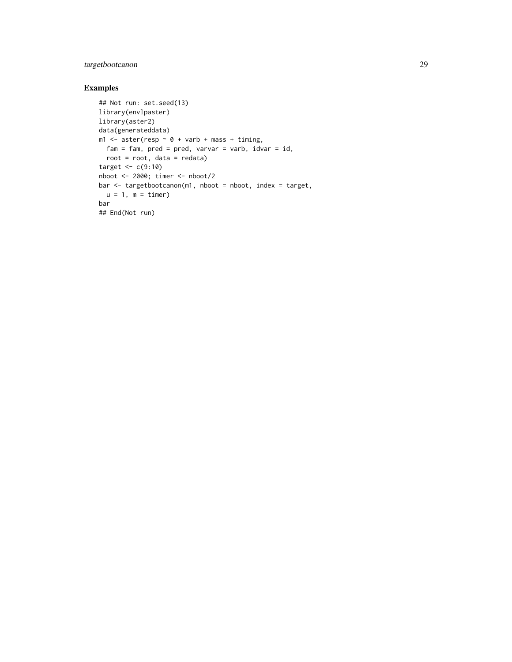# targetbootcanon 29

# Examples

```
## Not run: set.seed(13)
library(envlpaster)
library(aster2)
data(generateddata)
m1 <- aster(resp \sim 0 + varb + mass + timing,
 fam = fam, pred = pred, varvar = varb, idvar = id,
 root = root, data = redata)
target \leq c(9:10)nboot <- 2000; timer <- nboot/2
bar <- targetbootcanon(m1, nboot = nboot, index = target,
 u = 1, m = timer)
bar
## End(Not run)
```